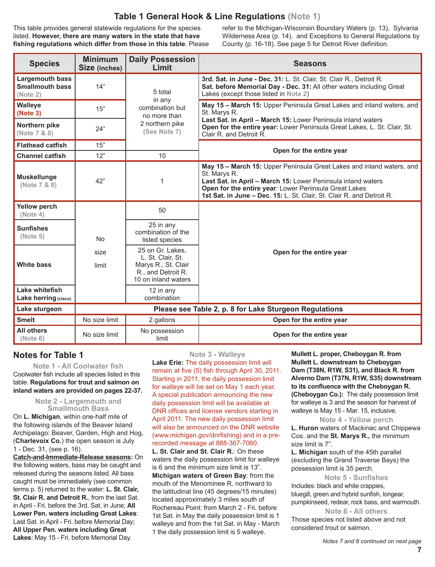# **Table 1 General Hook & Line Regulations (Note 1)**

This table provides general statewide regulations for the species listed. **However, there are many waters in the state that have fishing regulations which differ from those in this table**. Please refer to the Michigan-Wisconsin Boundary Waters (p. 13), Sylvania Wilderness Area (p. 14), and Exceptions to General Regulations by County (p. 16-18). See page 5 for Detroit River definition.

| <b>Species</b>                                               | <b>Minimum</b><br>Size (inches)                        | <b>Daily Possession</b><br>Limit                                                                          | <b>Seasons</b>                                                                                                                                                                                                                                                                          |
|--------------------------------------------------------------|--------------------------------------------------------|-----------------------------------------------------------------------------------------------------------|-----------------------------------------------------------------------------------------------------------------------------------------------------------------------------------------------------------------------------------------------------------------------------------------|
| <b>Largemouth bass</b><br><b>Smallmouth bass</b><br>(Note 2) | 14"                                                    | 5 total<br>in any                                                                                         | 3rd. Sat. in June - Dec. 31: L. St. Clair, St. Clair R., Detroit R.<br>Sat. before Memorial Day - Dec. 31: All other waters including Great<br>Lakes (except those listed in Note 2)                                                                                                    |
| Walleye<br>(Note 3)                                          | 15"                                                    | combination but<br>no more than                                                                           | May 15 - March 15: Upper Peninsula Great Lakes and inland waters, and<br>St. Marys R.                                                                                                                                                                                                   |
| Northern pike<br>(Note 7 & 8)                                | 24"                                                    | 2 northern pike<br>(See Note 7)                                                                           | Last Sat. in April - March 15: Lower Peninsula inland waters<br>Open for the entire year: Lower Peninsula Great Lakes, L. St. Clair, St.<br>Clair R. and Detroit R.                                                                                                                     |
| <b>Flathead catfish</b>                                      | 15"                                                    |                                                                                                           | Open for the entire year                                                                                                                                                                                                                                                                |
| <b>Channel catfish</b>                                       | 12"                                                    | 10                                                                                                        |                                                                                                                                                                                                                                                                                         |
| <b>Muskellunge</b><br>(Note 7 & 8)                           | 42"                                                    | 1                                                                                                         | May 15 - March 15: Upper Peninsula Great Lakes and inland waters, and<br>St. Marys R.<br>Last Sat. in April - March 15: Lower Peninsula inland waters<br>Open for the entire year: Lower Peninsula Great Lakes<br>1st Sat. in June - Dec. 15: L. St. Clair, St. Clair R. and Detroit R. |
| <b>Yellow perch</b><br>(Note 4)                              |                                                        | 50                                                                                                        |                                                                                                                                                                                                                                                                                         |
| <b>Sunfishes</b><br>(Note 5)                                 | <b>No</b>                                              | 25 in any<br>combination of the<br>listed species                                                         |                                                                                                                                                                                                                                                                                         |
| <b>White bass</b>                                            | size<br>limit                                          | 25 on Gr. Lakes.<br>L. St. Clair, St.<br>Marys R., St. Clair<br>R., and Detroit R.<br>10 on inland waters | Open for the entire year                                                                                                                                                                                                                                                                |
| Lake whitefish<br>Lake herring (cisco)                       |                                                        | 12 in any<br>combination                                                                                  |                                                                                                                                                                                                                                                                                         |
| Lake sturgeon                                                | Please see Table 2, p. 8 for Lake Sturgeon Regulations |                                                                                                           |                                                                                                                                                                                                                                                                                         |
| <b>Smelt</b>                                                 | No size limit                                          | 2 gallons                                                                                                 | Open for the entire year                                                                                                                                                                                                                                                                |
| <b>All others</b><br>(Note 6)                                | No size limit                                          | No possession<br>limit                                                                                    | Open for the entire year                                                                                                                                                                                                                                                                |

# **Notes for Table 1**

**Note 1 - All Coolwater fish** Coolwater fish include all species listed in this table. **Regulations for trout and salmon on inland waters are provided on pages 22-37.**

> **Note 2 - Largemouth and Smallmouth Bass**

On **L. Michigan**, within one-half mile of the following islands of the Beaver Island Archipelago: Beaver, Garden, High and Hog, (**Charlevoix Co.**) the open season is July 1 - Dec. 31, (see p. 16).

**Catch-and-Immediate-Release seasons:** On the following waters, bass may be caught and released during the seasons listed. All bass caught must be immediately (see common terms p. 5) returned to the water: **L. St. Clair, St. Clair R. and Detroit R.**, from the last Sat. in April - Fri. before the 3rd. Sat. in June; **All Lower Pen. waters including Great Lakes**: Last Sat. in April - Fri. before Memorial Day; **All Upper Pen. waters including Great Lakes**: May 15 - Fri. before Memorial Day.

**Note 3 - Walleye**

**Lake Erie:** The daily possession limit will remain at five (5) fish through April 30, 2011. Starting in 2011, the daily possession limit for walleye will be set on May 1 each year. A special publication announcing the new daily possession limit will be available at DNR offices and license vendors starting in April 2011. The new daily possession limit will also be announced on the DNR website (www.michigan.gov/dnrfishing) and in a prerecorded message at 888-367-7060.

**L. St. Clair and St. Clair R.**: On these waters the daily possession limit for walleye is 6 and the minimum size limit is 13". **Michigan waters of Green Bay**: from the mouth of the Menominee R. northward to the latitudinal line (45 degrees/15 minutes) located approximately 3 miles south of Rochereau Point: from March 2 - Fri. before 1st Sat. in May the daily possession limit is 1 walleye and from the 1st Sat. in May - March 1 the daily possession limit is 5 walleye.

**Mullett L. proper, Cheboygan R. from Mullett L. downstream to Cheboygan Dam (T38N, R1W, S31), and Black R. from Alverno Dam (T37N, R1W, S35) downstream to its confluence with the Cheboygan R. (Cheboygan Co.):** The daily possession limit for walleye is 3 and the season for harvest of walleye is May 15 - Mar. 15, inclusive.

#### **Note 4 - Yellow perch**

**L. Huron** waters of Mackinac and Chippewa Cos. and the **St. Marys R.,** the minimum size limit is 7".

**L. Michigan** south of the 45th parallel (excluding the Grand Traverse Bays) the possession limit is 35 perch.

**Note 5 - Sunfishes**

Includes: black and white crappies, bluegill, green and hybrid sunfish, longear, pumpkinseed, redear, rock bass, and warmouth.

**Note 6 - All others** Those species not listed above and not considered trout or salmon.